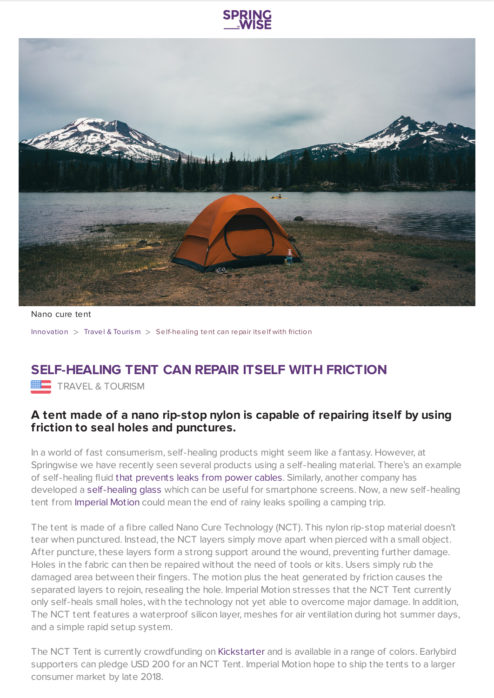



Nano cure tent

[Innovation](https://www.springwise.com/search?type=innovation) > Travel & [Tourism](https://www.springwise.com/search?type=innovation§or=travel-and-tourism) > Self-healing tent can repair itself with friction

## **SELF-HEALING TENT CAN REPAIR ITSELF WITH FRICTION**

TRAVEL & TOURISM

## **A tent made of a nano rip-stop nylon is capable of repairing itself by using friction to seal holes and punctures.**

In a world of fast consumerism, self-healing products might seem like a fantasy. However, at Springwise we have recently seen several products using a self-healing material. There's an example of self-healing fluid that [prevents](https://www.springwise.com/power-cable-seals-itself-when-exposed-to-air/) leaks from power cables. Similarly, another company has developed a [self-healing](https://www.springwise.com/self-healing-glass-brings-end-broken-screens/) glass which can be useful for smartphone screens. Now, a new self-healing tent from [Imperial](https://imperialmotion.com/) Motion could mean the end of rainy leaks spoiling a camping trip.

The tent is made of a fibre called Nano Cure Technology (NCT). This nylon rip-stop material doesn't tear when punctured. Instead, the NCT layers simply move apart when pierced with a small object. After puncture, these layers form a strong support around the wound, preventing further damage. Holes in the fabric can then be repaired without the need of tools or kits. Users simply rub the damaged area between their fingers. The motion plus the heat generated by friction causes the separated layers to rejoin, resealing the hole. Imperial Motion stresses that the NCT Tent currently only self-heals small holes, with the technology not yet able to overcome major damage. In addition, The NCT tent features a waterproof silicon layer, meshes for air ventilation during hot summer days, and a simple rapid setup system.

The NCT Tent is currently crowdfunding on [Kickstarter](https://www.kickstarter.com/projects/1041121651/nano-cure-tent-the-worlds-first-self-healing-tent/description) and is available in a range of colors. Earlybird supporters can pledge USD 200 for an NCT Tent. Imperial Motion hope to ship the tents to a larger consumer market by late 2018.